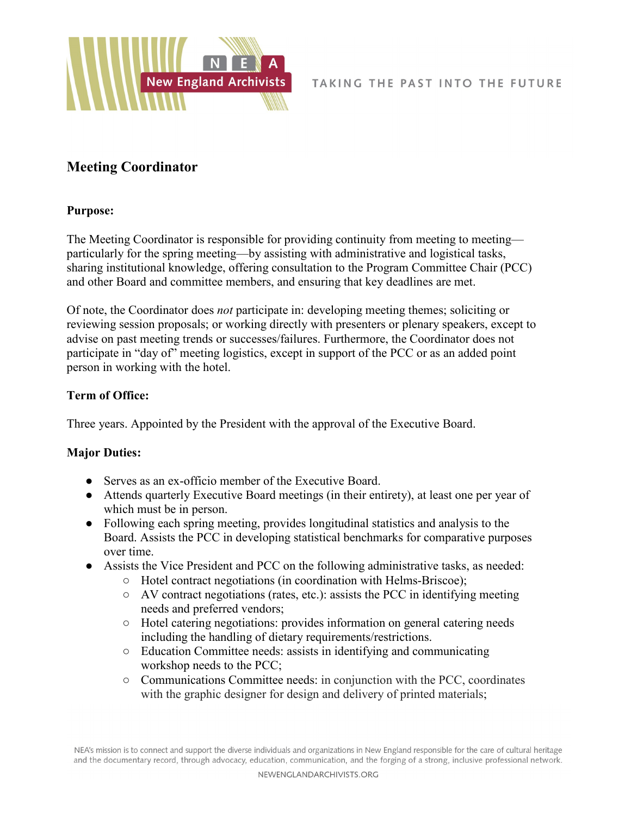

## **Meeting Coordinator**

## **Purpose:**

The Meeting Coordinator is responsible for providing continuity from meeting to meeting particularly for the spring meeting—by assisting with administrative and logistical tasks, sharing institutional knowledge, offering consultation to the Program Committee Chair (PCC) and other Board and committee members, and ensuring that key deadlines are met.

Of note, the Coordinator does *not* participate in: developing meeting themes; soliciting or reviewing session proposals; or working directly with presenters or plenary speakers, except to advise on past meeting trends or successes/failures. Furthermore, the Coordinator does not participate in "day of" meeting logistics, except in support of the PCC or as an added point person in working with the hotel.

## **Term of Office:**

Three years. Appointed by the President with the approval of the Executive Board.

## **Major Duties:**

- Serves as an ex-officio member of the Executive Board.
- Attends quarterly Executive Board meetings (in their entirety), at least one per year of which must be in person.
- Following each spring meeting, provides longitudinal statistics and analysis to the Board. Assists the PCC in developing statistical benchmarks for comparative purposes over time.
- Assists the Vice President and PCC on the following administrative tasks, as needed:
	- Hotel contract negotiations (in coordination with Helms-Briscoe);
	- AV contract negotiations (rates, etc.): assists the PCC in identifying meeting needs and preferred vendors;
	- Hotel catering negotiations: provides information on general catering needs including the handling of dietary requirements/restrictions.
	- Education Committee needs: assists in identifying and communicating workshop needs to the PCC;
	- Communications Committee needs: in conjunction with the PCC, coordinates with the graphic designer for design and delivery of printed materials;